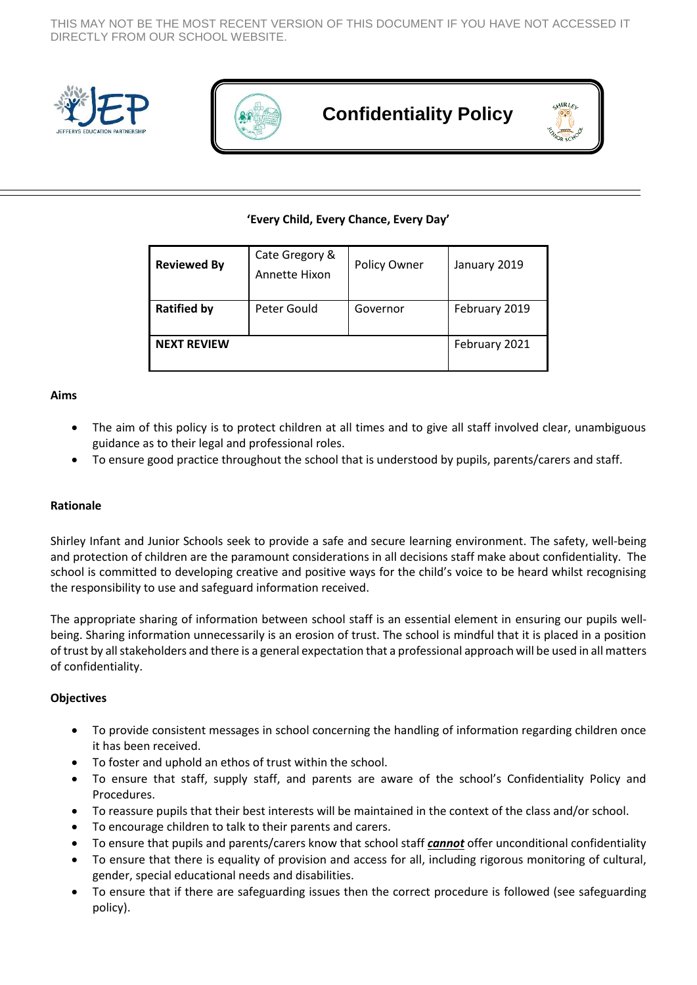THIS MAY NOT BE THE MOST RECENT VERSION OF THIS DOCUMENT IF YOU HAVE NOT ACCESSED IT DIRECTLY FROM OUR SCHOOL WEBSITE.





# **Confidentiality Policy**

# **'Every Child, Every Chance, Every Day'**

| <b>Reviewed By</b> | Cate Gregory &<br>Annette Hixon | Policy Owner | January 2019  |
|--------------------|---------------------------------|--------------|---------------|
| <b>Ratified by</b> | Peter Gould                     | Governor     | February 2019 |
| <b>NEXT REVIEW</b> |                                 |              | February 2021 |

#### **Aims**

- The aim of this policy is to protect children at all times and to give all staff involved clear, unambiguous guidance as to their legal and professional roles.
- To ensure good practice throughout the school that is understood by pupils, parents/carers and staff.

## **Rationale**

Shirley Infant and Junior Schools seek to provide a safe and secure learning environment. The safety, well-being and protection of children are the paramount considerations in all decisions staff make about confidentiality. The school is committed to developing creative and positive ways for the child's voice to be heard whilst recognising the responsibility to use and safeguard information received.

The appropriate sharing of information between school staff is an essential element in ensuring our pupils wellbeing. Sharing information unnecessarily is an erosion of trust. The school is mindful that it is placed in a position of trust by all stakeholders and there is a general expectation that a professional approach will be used in all matters of confidentiality.

## **Objectives**

- To provide consistent messages in school concerning the handling of information regarding children once it has been received.
- To foster and uphold an ethos of trust within the school.
- To ensure that staff, supply staff, and parents are aware of the school's Confidentiality Policy and Procedures.
- To reassure pupils that their best interests will be maintained in the context of the class and/or school.
- To encourage children to talk to their parents and carers.
- To ensure that pupils and parents/carers know that school staff *cannot* offer unconditional confidentiality
- To ensure that there is equality of provision and access for all, including rigorous monitoring of cultural, gender, special educational needs and disabilities.
- To ensure that if there are safeguarding issues then the correct procedure is followed (see safeguarding policy).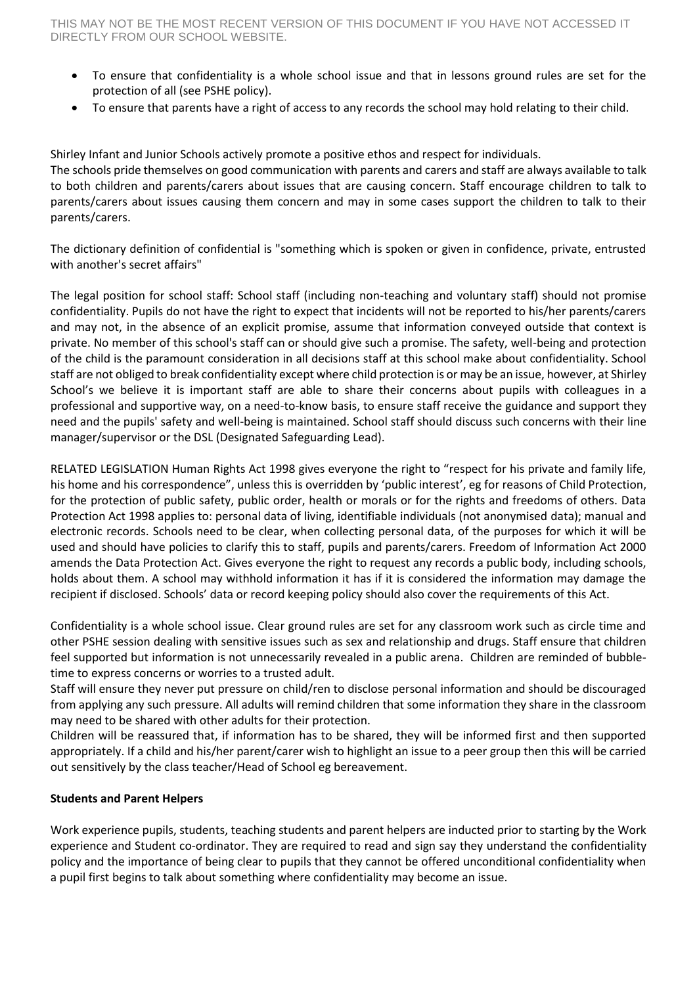- To ensure that confidentiality is a whole school issue and that in lessons ground rules are set for the protection of all (see PSHE policy).
- To ensure that parents have a right of access to any records the school may hold relating to their child.

Shirley Infant and Junior Schools actively promote a positive ethos and respect for individuals. The schools pride themselves on good communication with parents and carers and staff are always available to talk to both children and parents/carers about issues that are causing concern. Staff encourage children to talk to parents/carers about issues causing them concern and may in some cases support the children to talk to their parents/carers.

The dictionary definition of confidential is "something which is spoken or given in confidence, private, entrusted with another's secret affairs"

The legal position for school staff: School staff (including non-teaching and voluntary staff) should not promise confidentiality. Pupils do not have the right to expect that incidents will not be reported to his/her parents/carers and may not, in the absence of an explicit promise, assume that information conveyed outside that context is private. No member of this school's staff can or should give such a promise. The safety, well-being and protection of the child is the paramount consideration in all decisions staff at this school make about confidentiality. School staff are not obliged to break confidentiality except where child protection is or may be an issue, however, at Shirley School's we believe it is important staff are able to share their concerns about pupils with colleagues in a professional and supportive way, on a need-to-know basis, to ensure staff receive the guidance and support they need and the pupils' safety and well-being is maintained. School staff should discuss such concerns with their line manager/supervisor or the DSL (Designated Safeguarding Lead).

RELATED LEGISLATION Human Rights Act 1998 gives everyone the right to "respect for his private and family life, his home and his correspondence", unless this is overridden by 'public interest', eg for reasons of Child Protection, for the protection of public safety, public order, health or morals or for the rights and freedoms of others. Data Protection Act 1998 applies to: personal data of living, identifiable individuals (not anonymised data); manual and electronic records. Schools need to be clear, when collecting personal data, of the purposes for which it will be used and should have policies to clarify this to staff, pupils and parents/carers. Freedom of Information Act 2000 amends the Data Protection Act. Gives everyone the right to request any records a public body, including schools, holds about them. A school may withhold information it has if it is considered the information may damage the recipient if disclosed. Schools' data or record keeping policy should also cover the requirements of this Act.

Confidentiality is a whole school issue. Clear ground rules are set for any classroom work such as circle time and other PSHE session dealing with sensitive issues such as sex and relationship and drugs. Staff ensure that children feel supported but information is not unnecessarily revealed in a public arena. Children are reminded of bubbletime to express concerns or worries to a trusted adult.

Staff will ensure they never put pressure on child/ren to disclose personal information and should be discouraged from applying any such pressure. All adults will remind children that some information they share in the classroom may need to be shared with other adults for their protection.

Children will be reassured that, if information has to be shared, they will be informed first and then supported appropriately. If a child and his/her parent/carer wish to highlight an issue to a peer group then this will be carried out sensitively by the class teacher/Head of School eg bereavement.

# **Students and Parent Helpers**

Work experience pupils, students, teaching students and parent helpers are inducted prior to starting by the Work experience and Student co-ordinator. They are required to read and sign say they understand the confidentiality policy and the importance of being clear to pupils that they cannot be offered unconditional confidentiality when a pupil first begins to talk about something where confidentiality may become an issue.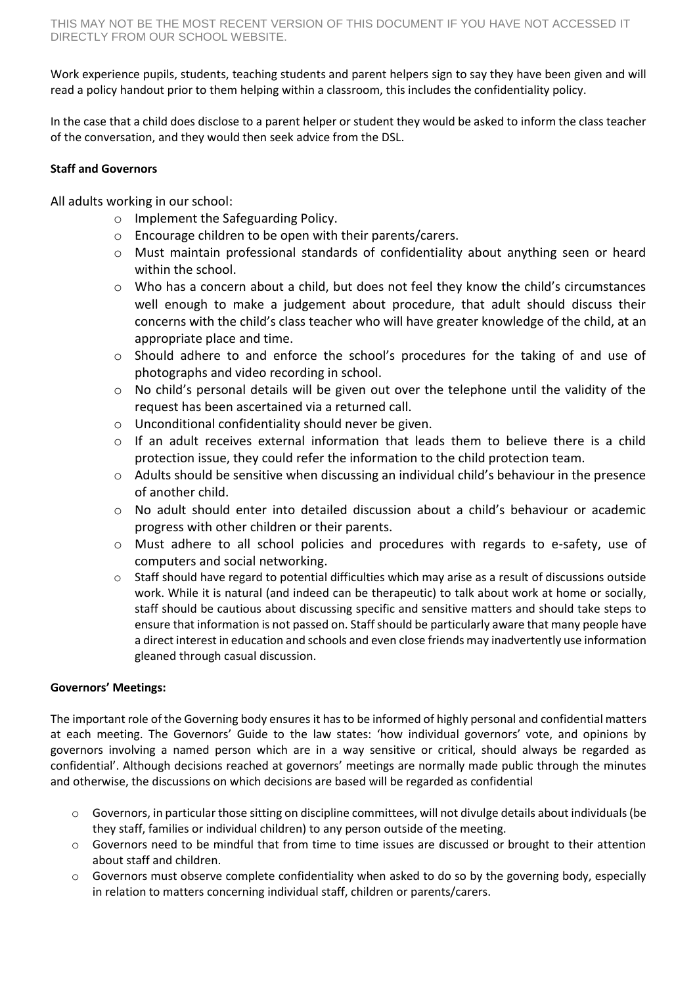Work experience pupils, students, teaching students and parent helpers sign to say they have been given and will read a policy handout prior to them helping within a classroom, this includes the confidentiality policy.

In the case that a child does disclose to a parent helper or student they would be asked to inform the class teacher of the conversation, and they would then seek advice from the DSL.

# **Staff and Governors**

All adults working in our school:

- o Implement the Safeguarding Policy.
- o Encourage children to be open with their parents/carers.
- $\circ$  Must maintain professional standards of confidentiality about anything seen or heard within the school.
- o Who has a concern about a child, but does not feel they know the child's circumstances well enough to make a judgement about procedure, that adult should discuss their concerns with the child's class teacher who will have greater knowledge of the child, at an appropriate place and time.
- o Should adhere to and enforce the school's procedures for the taking of and use of photographs and video recording in school.
- o No child's personal details will be given out over the telephone until the validity of the request has been ascertained via a returned call.
- o Unconditional confidentiality should never be given.
- o If an adult receives external information that leads them to believe there is a child protection issue, they could refer the information to the child protection team.
- o Adults should be sensitive when discussing an individual child's behaviour in the presence of another child.
- $\circ$  No adult should enter into detailed discussion about a child's behaviour or academic progress with other children or their parents.
- o Must adhere to all school policies and procedures with regards to e-safety, use of computers and social networking.
- o Staff should have regard to potential difficulties which may arise as a result of discussions outside work. While it is natural (and indeed can be therapeutic) to talk about work at home or socially, staff should be cautious about discussing specific and sensitive matters and should take steps to ensure that information is not passed on. Staff should be particularly aware that many people have a direct interest in education and schools and even close friends may inadvertently use information gleaned through casual discussion.

# **Governors' Meetings:**

The important role of the Governing body ensures it has to be informed of highly personal and confidential matters at each meeting. The Governors' Guide to the law states: 'how individual governors' vote, and opinions by governors involving a named person which are in a way sensitive or critical, should always be regarded as confidential'. Although decisions reached at governors' meetings are normally made public through the minutes and otherwise, the discussions on which decisions are based will be regarded as confidential

- $\circ$  Governors, in particular those sitting on discipline committees, will not divulge details about individuals (be they staff, families or individual children) to any person outside of the meeting.
- o Governors need to be mindful that from time to time issues are discussed or brought to their attention about staff and children.
- $\circ$  Governors must observe complete confidentiality when asked to do so by the governing body, especially in relation to matters concerning individual staff, children or parents/carers.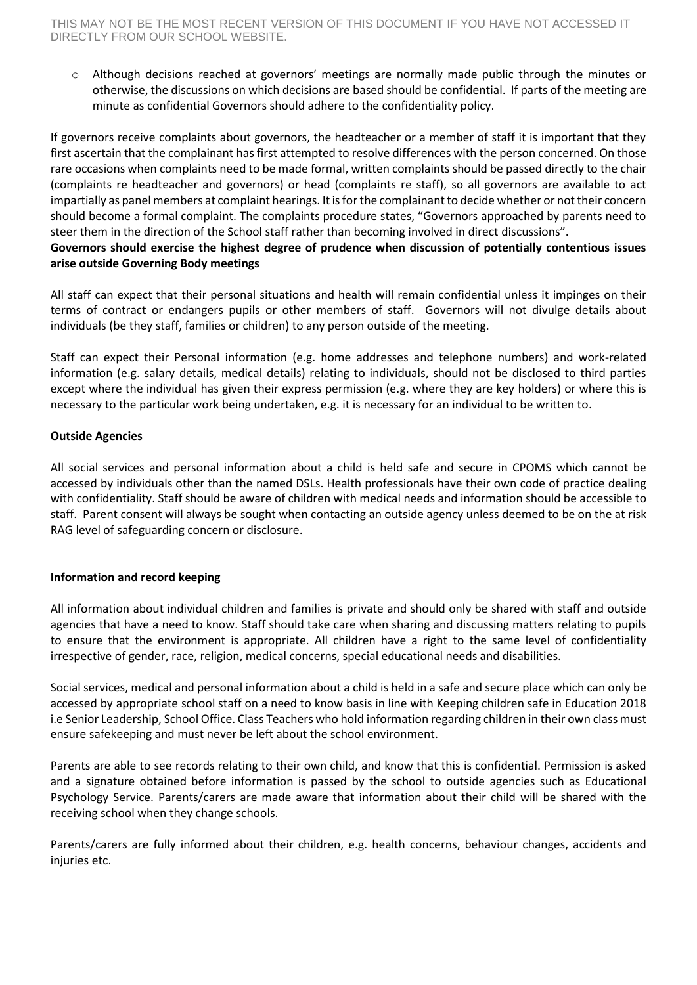o Although decisions reached at governors' meetings are normally made public through the minutes or otherwise, the discussions on which decisions are based should be confidential. If parts of the meeting are minute as confidential Governors should adhere to the confidentiality policy.

If governors receive complaints about governors, the headteacher or a member of staff it is important that they first ascertain that the complainant has first attempted to resolve differences with the person concerned. On those rare occasions when complaints need to be made formal, written complaints should be passed directly to the chair (complaints re headteacher and governors) or head (complaints re staff), so all governors are available to act impartially as panel members at complaint hearings. It is for the complainant to decide whether or not their concern should become a formal complaint. The complaints procedure states, "Governors approached by parents need to steer them in the direction of the School staff rather than becoming involved in direct discussions".

## **Governors should exercise the highest degree of prudence when discussion of potentially contentious issues arise outside Governing Body meetings**

All staff can expect that their personal situations and health will remain confidential unless it impinges on their terms of contract or endangers pupils or other members of staff. Governors will not divulge details about individuals (be they staff, families or children) to any person outside of the meeting.

Staff can expect their Personal information (e.g. home addresses and telephone numbers) and work-related information (e.g. salary details, medical details) relating to individuals, should not be disclosed to third parties except where the individual has given their express permission (e.g. where they are key holders) or where this is necessary to the particular work being undertaken, e.g. it is necessary for an individual to be written to.

# **Outside Agencies**

All social services and personal information about a child is held safe and secure in CPOMS which cannot be accessed by individuals other than the named DSLs. Health professionals have their own code of practice dealing with confidentiality. Staff should be aware of children with medical needs and information should be accessible to staff. Parent consent will always be sought when contacting an outside agency unless deemed to be on the at risk RAG level of safeguarding concern or disclosure.

# **Information and record keeping**

All information about individual children and families is private and should only be shared with staff and outside agencies that have a need to know. Staff should take care when sharing and discussing matters relating to pupils to ensure that the environment is appropriate. All children have a right to the same level of confidentiality irrespective of gender, race, religion, medical concerns, special educational needs and disabilities.

Social services, medical and personal information about a child is held in a safe and secure place which can only be accessed by appropriate school staff on a need to know basis in line with Keeping children safe in Education 2018 i.e Senior Leadership, School Office. Class Teachers who hold information regarding children in their own class must ensure safekeeping and must never be left about the school environment.

Parents are able to see records relating to their own child, and know that this is confidential. Permission is asked and a signature obtained before information is passed by the school to outside agencies such as Educational Psychology Service. Parents/carers are made aware that information about their child will be shared with the receiving school when they change schools.

Parents/carers are fully informed about their children, e.g. health concerns, behaviour changes, accidents and injuries etc.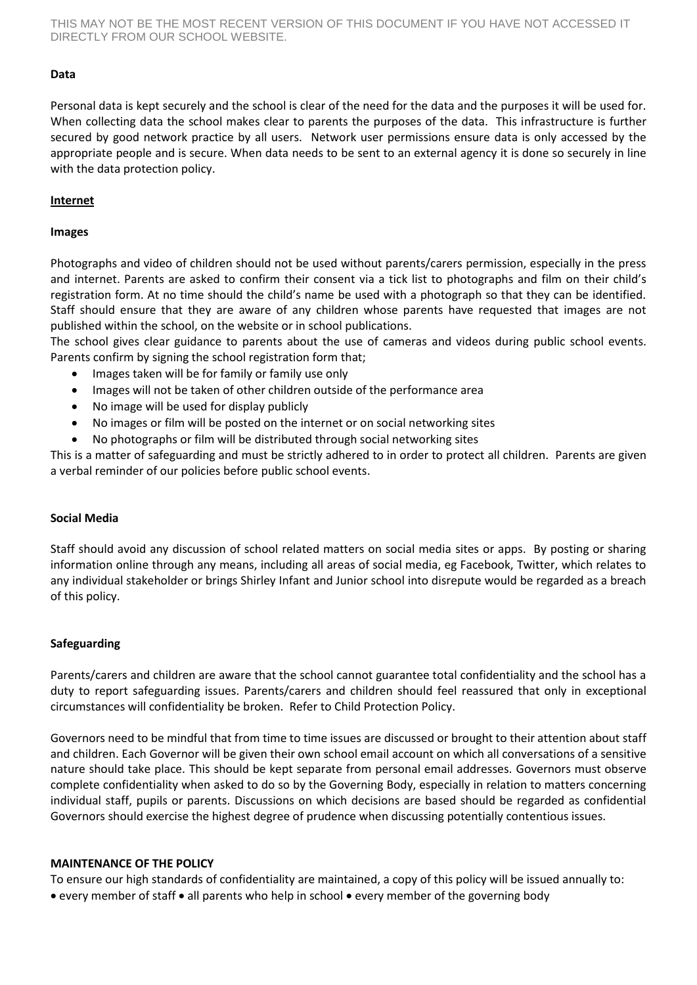THIS MAY NOT BE THE MOST RECENT VERSION OF THIS DOCUMENT IF YOU HAVE NOT ACCESSED IT DIRECTLY FROM OUR SCHOOL WEBSITE.

### **Data**

Personal data is kept securely and the school is clear of the need for the data and the purposes it will be used for. When collecting data the school makes clear to parents the purposes of the data. This infrastructure is further secured by good network practice by all users. Network user permissions ensure data is only accessed by the appropriate people and is secure. When data needs to be sent to an external agency it is done so securely in line with the data protection policy.

#### **Internet**

#### **Images**

Photographs and video of children should not be used without parents/carers permission, especially in the press and internet. Parents are asked to confirm their consent via a tick list to photographs and film on their child's registration form. At no time should the child's name be used with a photograph so that they can be identified. Staff should ensure that they are aware of any children whose parents have requested that images are not published within the school, on the website or in school publications.

The school gives clear guidance to parents about the use of cameras and videos during public school events. Parents confirm by signing the school registration form that;

- Images taken will be for family or family use only
- Images will not be taken of other children outside of the performance area
- No image will be used for display publicly
- No images or film will be posted on the internet or on social networking sites
- No photographs or film will be distributed through social networking sites

This is a matter of safeguarding and must be strictly adhered to in order to protect all children. Parents are given a verbal reminder of our policies before public school events.

#### **Social Media**

Staff should avoid any discussion of school related matters on social media sites or apps. By posting or sharing information online through any means, including all areas of social media, eg Facebook, Twitter, which relates to any individual stakeholder or brings Shirley Infant and Junior school into disrepute would be regarded as a breach of this policy.

## **Safeguarding**

Parents/carers and children are aware that the school cannot guarantee total confidentiality and the school has a duty to report safeguarding issues. Parents/carers and children should feel reassured that only in exceptional circumstances will confidentiality be broken. Refer to Child Protection Policy.

Governors need to be mindful that from time to time issues are discussed or brought to their attention about staff and children. Each Governor will be given their own school email account on which all conversations of a sensitive nature should take place. This should be kept separate from personal email addresses. Governors must observe complete confidentiality when asked to do so by the Governing Body, especially in relation to matters concerning individual staff, pupils or parents. Discussions on which decisions are based should be regarded as confidential Governors should exercise the highest degree of prudence when discussing potentially contentious issues.

#### **MAINTENANCE OF THE POLICY**

To ensure our high standards of confidentiality are maintained, a copy of this policy will be issued annually to:

• every member of staff • all parents who help in school • every member of the governing body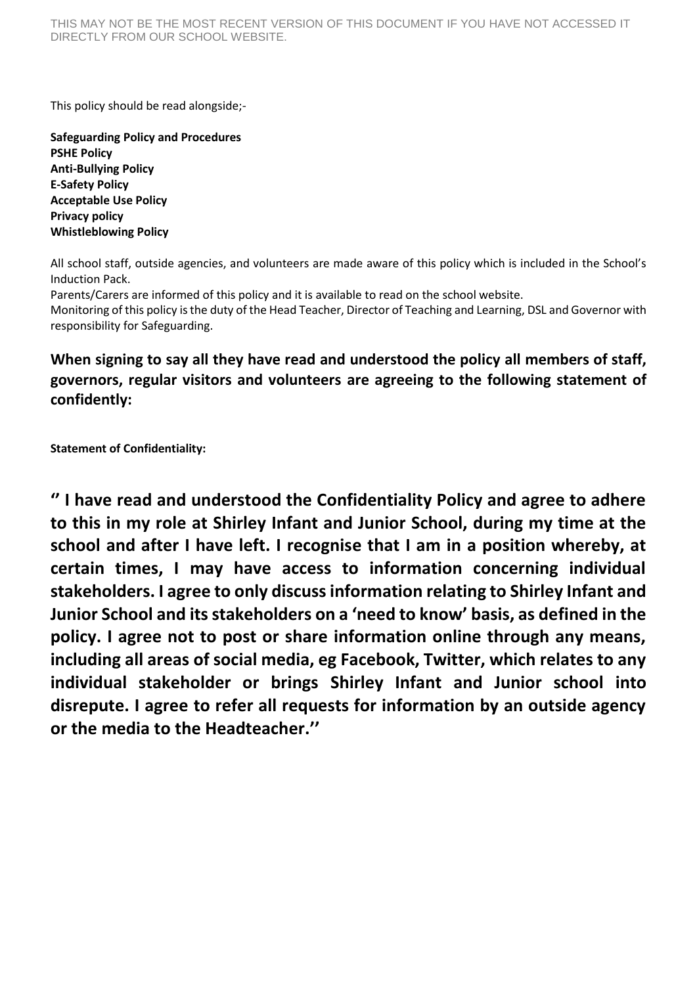This policy should be read alongside;-

**Safeguarding Policy and Procedures PSHE Policy Anti-Bullying Policy E-Safety Policy Acceptable Use Policy Privacy policy Whistleblowing Policy**

All school staff, outside agencies, and volunteers are made aware of this policy which is included in the School's Induction Pack.

Parents/Carers are informed of this policy and it is available to read on the school website.

Monitoring of this policy is the duty of the Head Teacher, Director of Teaching and Learning, DSL and Governor with responsibility for Safeguarding.

# **When signing to say all they have read and understood the policy all members of staff, governors, regular visitors and volunteers are agreeing to the following statement of confidently:**

**Statement of Confidentiality:**

**'' I have read and understood the Confidentiality Policy and agree to adhere to this in my role at Shirley Infant and Junior School, during my time at the school and after I have left. I recognise that I am in a position whereby, at certain times, I may have access to information concerning individual stakeholders. I agree to only discuss information relating to Shirley Infant and Junior School and its stakeholders on a 'need to know' basis, as defined in the policy. I agree not to post or share information online through any means, including all areas of social media, eg Facebook, Twitter, which relates to any individual stakeholder or brings Shirley Infant and Junior school into disrepute. I agree to refer all requests for information by an outside agency or the media to the Headteacher.''**